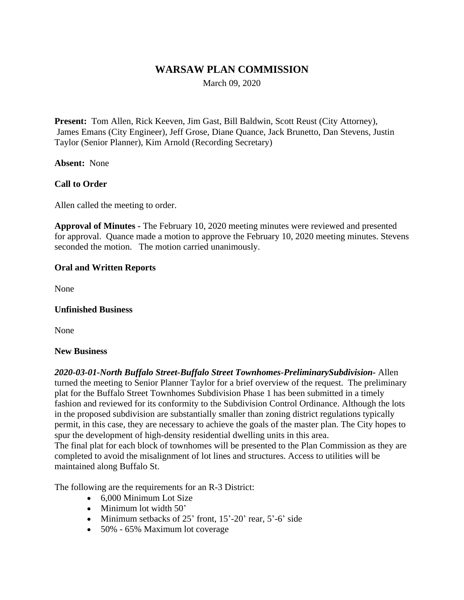# **WARSAW PLAN COMMISSION**

March 09, 2020

**Present:** Tom Allen, Rick Keeven, Jim Gast, Bill Baldwin, Scott Reust (City Attorney), James Emans (City Engineer), Jeff Grose, Diane Quance, Jack Brunetto, Dan Stevens, Justin Taylor (Senior Planner), Kim Arnold (Recording Secretary)

**Absent:** None

### **Call to Order**

Allen called the meeting to order.

**Approval of Minutes -** The February 10, 2020 meeting minutes were reviewed and presented for approval. Quance made a motion to approve the February 10, 2020 meeting minutes. Stevens seconded the motion. The motion carried unanimously.

#### **Oral and Written Reports**

None

#### **Unfinished Business**

None

#### **New Business**

*2020-03-01-North Buffalo Street-Buffalo Street Townhomes-PreliminarySubdivision-* Allen turned the meeting to Senior Planner Taylor for a brief overview of the request. The preliminary plat for the Buffalo Street Townhomes Subdivision Phase 1 has been submitted in a timely fashion and reviewed for its conformity to the Subdivision Control Ordinance. Although the lots in the proposed subdivision are substantially smaller than zoning district regulations typically permit, in this case, they are necessary to achieve the goals of the master plan. The City hopes to spur the development of high-density residential dwelling units in this area. The final plat for each block of townhomes will be presented to the Plan Commission as they are completed to avoid the misalignment of lot lines and structures. Access to utilities will be maintained along Buffalo St.

The following are the requirements for an R-3 District:

- 6,000 Minimum Lot Size
- Minimum lot width 50'
- Minimum setbacks of  $25'$  front,  $15'-20'$  rear,  $5'-6'$  side
- 50% 65% Maximum lot coverage